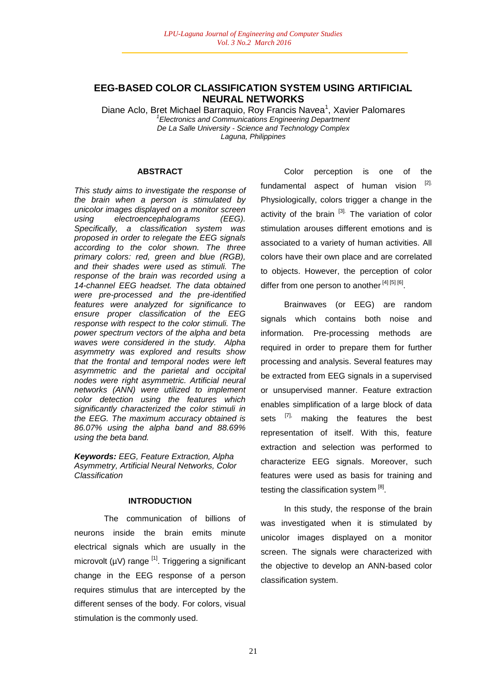# **EEG-BASED COLOR CLASSIFICATION SYSTEM USING ARTIFICIAL NEURAL NETWORKS**

Diane Aclo, Bret Michael Barraquio, Roy Francis Navea<sup>1</sup>, Xavier Palomares *1 Electronics and Communications Engineering Department De La Salle University - Science and Technology Complex Laguna, Philippines*

#### **ABSTRACT**

*This study aims to investigate the response of the brain when a person is stimulated by unicolor images displayed on a monitor screen using electroencephalograms (EEG). Specifically, a classification system was proposed in order to relegate the EEG signals according to the color shown. The three primary colors: red, green and blue (RGB), and their shades were used as stimuli. The response of the brain was recorded using a 14-channel EEG headset. The data obtained were pre-processed and the pre-identified features were analyzed for significance to ensure proper classification of the EEG response with respect to the color stimuli. The power spectrum vectors of the alpha and beta waves were considered in the study. Alpha asymmetry was explored and results show that the frontal and temporal nodes were left asymmetric and the parietal and occipital nodes were right asymmetric. Artificial neural networks (ANN) were utilized to implement color detection using the features which significantly characterized the color stimuli in the EEG. The maximum accuracy obtained is 86.07% using the alpha band and 88.69% using the beta band.*

*Keywords: EEG, Feature Extraction, Alpha Asymmetry, Artificial Neural Networks, Color Classification*

## **INTRODUCTION**

The communication of billions of neurons inside the brain emits minute electrical signals which are usually in the microvolt ( $\mu$ V) range <sup>[1]</sup>. Triggering a significant change in the EEG response of a person requires stimulus that are intercepted by the different senses of the body. For colors, visual stimulation is the commonly used.

Color perception is one of the fundamental aspect of human vision [2]. Physiologically, colors trigger a change in the activity of the brain [3]. The variation of color stimulation arouses different emotions and is associated to a variety of human activities. All colors have their own place and are correlated to objects. However, the perception of color differ from one person to another [4] [5] [6].

Brainwaves (or EEG) are random signals which contains both noise and information. Pre-processing methods are required in order to prepare them for further processing and analysis. Several features may be extracted from EEG signals in a supervised or unsupervised manner. Feature extraction enables simplification of a large block of data sets [7], making the features the best representation of itself. With this, feature extraction and selection was performed to characterize EEG signals. Moreover, such features were used as basis for training and testing the classification system [8].

In this study, the response of the brain was investigated when it is stimulated by unicolor images displayed on a monitor screen. The signals were characterized with the objective to develop an ANN-based color classification system.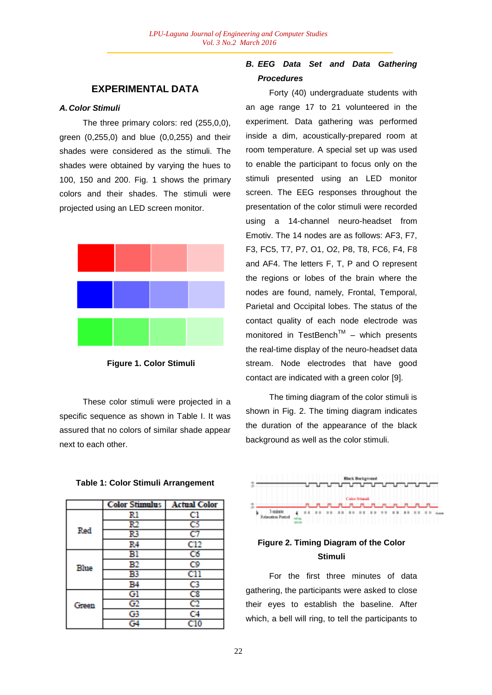# **EXPERIMENTAL DATA**

## *A.Color Stimuli*

The three primary colors: red (255,0,0), green (0,255,0) and blue (0,0,255) and their shades were considered as the stimuli. The shades were obtained by varying the hues to 100, 150 and 200. Fig. 1 shows the primary colors and their shades. The stimuli were projected using an LED screen monitor.



**Figure 1. Color Stimuli**

These color stimuli were projected in a specific sequence as shown in Table I. It was assured that no colors of similar shade appear next to each other.

**Table 1: Color Stimuli Arrangement**

|       | <b>Color Stimulus</b> | <b>Actual Color</b> |
|-------|-----------------------|---------------------|
|       | Rl                    | Cl                  |
|       | R2                    | C5                  |
| Red   | R3                    | C7                  |
|       | R4                    | C12                 |
|       | Bl                    | C6                  |
| Blue  | В2                    | C9                  |
|       | B3                    | $_{\rm cii}$        |
|       | B4                    | C3                  |
|       | Gl                    | $_{\text{C8}}$      |
| Green | G2                    | $_{\rm c2}$         |
|       | G3                    | C4                  |
|       | $\overline{G}4$       | C10                 |

# *B. EEG Data Set and Data Gathering Procedures*

Forty (40) undergraduate students with an age range 17 to 21 volunteered in the experiment. Data gathering was performed inside a dim, acoustically-prepared room at room temperature. A special set up was used to enable the participant to focus only on the stimuli presented using an LED monitor screen. The EEG responses throughout the presentation of the color stimuli were recorded using a 14-channel neuro-headset from Emotiv. The 14 nodes are as follows: AF3, F7, F3, FC5, T7, P7, O1, O2, P8, T8, FC6, F4, F8 and AF4. The letters F, T, P and O represent the regions or lobes of the brain where the nodes are found, namely, Frontal, Temporal, Parietal and Occipital lobes. The status of the contact quality of each node electrode was monitored in TestBench<sup>TM</sup> - which presents the real-time display of the neuro-headset data stream. Node electrodes that have good contact are indicated with a green color [9].

The timing diagram of the color stimuli is shown in Fig. 2. The timing diagram indicates the duration of the appearance of the black background as well as the color stimuli.



# **Figure 2. Timing Diagram of the Color Stimuli**

For the first three minutes of data gathering, the participants were asked to close their eyes to establish the baseline. After which, a bell will ring, to tell the participants to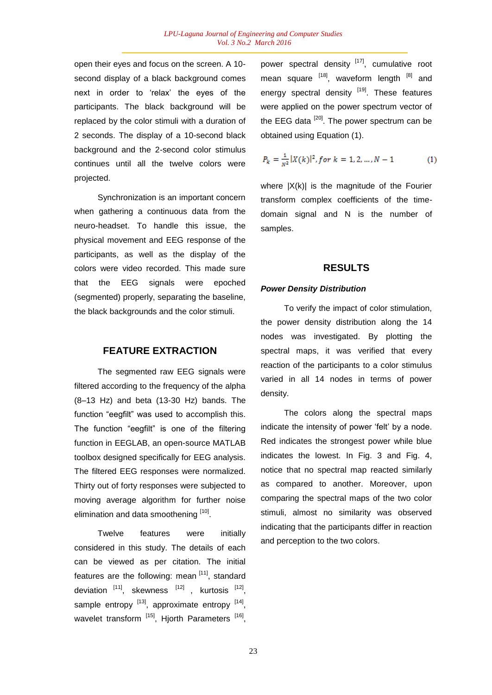open their eyes and focus on the screen. A 10 second display of a black background comes next in order to 'relax' the eyes of the participants. The black background will be replaced by the color stimuli with a duration of 2 seconds. The display of a 10-second black background and the 2-second color stimulus continues until all the twelve colors were projected.

Synchronization is an important concern when gathering a continuous data from the neuro-headset. To handle this issue, the physical movement and EEG response of the participants, as well as the display of the colors were video recorded. This made sure that the EEG signals were epoched (segmented) properly, separating the baseline, the black backgrounds and the color stimuli.

## **FEATURE EXTRACTION**

The segmented raw EEG signals were filtered according to the frequency of the alpha (8–13 Hz) and beta (13-30 Hz) bands. The function "eegfilt" was used to accomplish this. The function "eegfilt" is one of the filtering function in EEGLAB, an open-source MATLAB toolbox designed specifically for EEG analysis. The filtered EEG responses were normalized. Thirty out of forty responses were subjected to moving average algorithm for further noise elimination and data smoothening [10].

Twelve features were initially considered in this study. The details of each can be viewed as per citation. The initial features are the following: mean [11], standard deviation  $^{[11]}$ , skewness  $^{[12]}$ , kurtosis  $^{[12]}$ , sample entropy  $[13]$ , approximate entropy  $[14]$ , wavelet transform [15], Hjorth Parameters [16], power spectral density <sup>[17]</sup>, cumulative root mean square  $^{[18]}$ , waveform length  $^{[8]}$  and energy spectral density  $[19]$ . These features were applied on the power spectrum vector of the EEG data  $[20]$ . The power spectrum can be obtained using Equation (1).

$$
P_k = \frac{1}{N^2} |X(k)|^2, \text{for } k = 1, 2, \dots, N - 1 \tag{1}
$$

where  $|X(k)|$  is the magnitude of the Fourier transform complex coefficients of the timedomain signal and N is the number of samples.

## **RESULTS**

#### *Power Density Distribution*

To verify the impact of color stimulation, the power density distribution along the 14 nodes was investigated. By plotting the spectral maps, it was verified that every reaction of the participants to a color stimulus varied in all 14 nodes in terms of power density.

The colors along the spectral maps indicate the intensity of power 'felt' by a node. Red indicates the strongest power while blue indicates the lowest. In Fig. 3 and Fig. 4, notice that no spectral map reacted similarly as compared to another. Moreover, upon comparing the spectral maps of the two color stimuli, almost no similarity was observed indicating that the participants differ in reaction and perception to the two colors.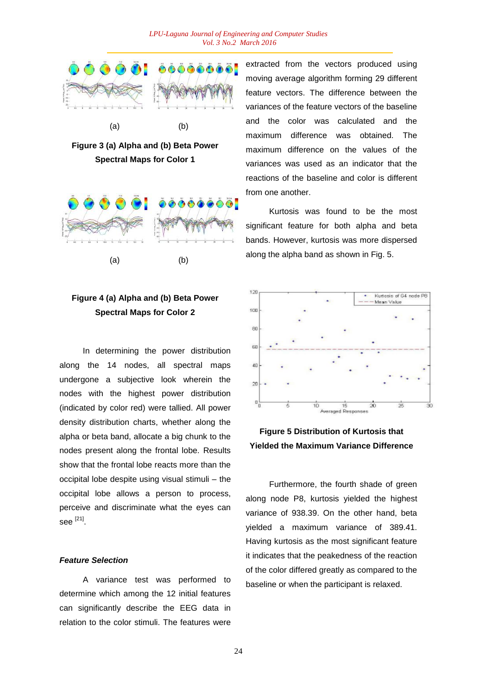

**Figure 3 (a) Alpha and (b) Beta Power Spectral Maps for Color 1**



# **Figure 4 (a) Alpha and (b) Beta Power Spectral Maps for Color 2**

In determining the power distribution along the 14 nodes, all spectral maps undergone a subjective look wherein the nodes with the highest power distribution (indicated by color red) were tallied. All power density distribution charts, whether along the alpha or beta band, allocate a big chunk to the nodes present along the frontal lobe. Results show that the frontal lobe reacts more than the occipital lobe despite using visual stimuli – the occipital lobe allows a person to process, perceive and discriminate what the eyes can see  $^{[21]}$ .

## *Feature Selection*

A variance test was performed to determine which among the 12 initial features can significantly describe the EEG data in relation to the color stimuli. The features were

extracted from the vectors produced using moving average algorithm forming 29 different feature vectors. The difference between the variances of the feature vectors of the baseline and the color was calculated and the maximum difference was obtained. The maximum difference on the values of the variances was used as an indicator that the reactions of the baseline and color is different from one another.

Kurtosis was found to be the most significant feature for both alpha and beta bands. However, kurtosis was more dispersed along the alpha band as shown in Fig. 5.



# **Figure 5 Distribution of Kurtosis that Yielded the Maximum Variance Difference**

Furthermore, the fourth shade of green along node P8, kurtosis yielded the highest variance of 938.39. On the other hand, beta yielded a maximum variance of 389.41. Having kurtosis as the most significant feature it indicates that the peakedness of the reaction of the color differed greatly as compared to the baseline or when the participant is relaxed.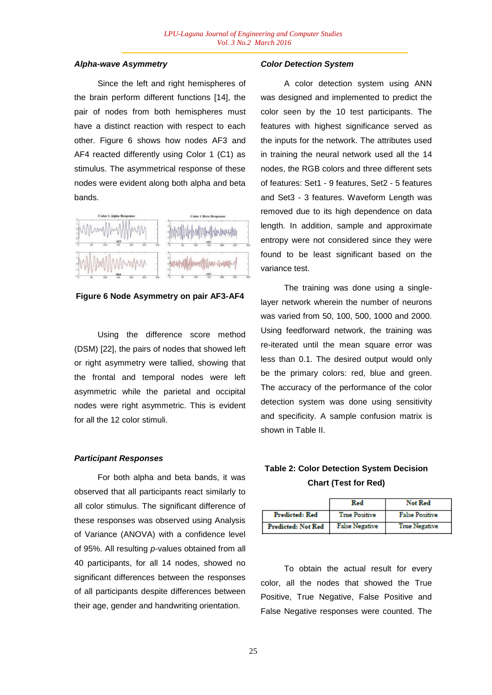#### *Alpha-wave Asymmetry*

Since the left and right hemispheres of the brain perform different functions [14], the pair of nodes from both hemispheres must have a distinct reaction with respect to each other. Figure 6 shows how nodes AF3 and AF4 reacted differently using Color 1 (C1) as stimulus. The asymmetrical response of these nodes were evident along both alpha and beta bands.



**Figure 6 Node Asymmetry on pair AF3-AF4**

Using the difference score method (DSM) [22], the pairs of nodes that showed left or right asymmetry were tallied, showing that the frontal and temporal nodes were left asymmetric while the parietal and occipital nodes were right asymmetric. This is evident for all the 12 color stimuli.

## *Participant Responses*

For both alpha and beta bands, it was observed that all participants react similarly to all color stimulus. The significant difference of these responses was observed using Analysis of Variance (ANOVA) with a confidence level of 95%. All resulting *p*-values obtained from all 40 participants, for all 14 nodes, showed no significant differences between the responses of all participants despite differences between their age, gender and handwriting orientation.

#### *Color Detection System*

A color detection system using ANN was designed and implemented to predict the color seen by the 10 test participants. The features with highest significance served as the inputs for the network. The attributes used in training the neural network used all the 14 nodes, the RGB colors and three different sets of features: Set1 - 9 features, Set2 - 5 features and Set3 - 3 features. Waveform Length was removed due to its high dependence on data length. In addition, sample and approximate entropy were not considered since they were found to be least significant based on the variance test.

The training was done using a singlelayer network wherein the number of neurons was varied from 50, 100, 500, 1000 and 2000. Using feedforward network, the training was re-iterated until the mean square error was less than 0.1. The desired output would only be the primary colors: red, blue and green. The accuracy of the performance of the color detection system was done using sensitivity and specificity. A sample confusion matrix is shown in Table II.

# **Table 2: Color Detection System Decision Chart (Test for Red)**

|                           | Red                   | Not Red               |  |  |
|---------------------------|-----------------------|-----------------------|--|--|
| <b>Predicted: Red</b>     | <b>True Positive</b>  | <b>False Positive</b> |  |  |
| <b>Predicted: Not Red</b> | <b>False Negative</b> | <b>True Negative</b>  |  |  |

To obtain the actual result for every color, all the nodes that showed the True Positive, True Negative, False Positive and False Negative responses were counted. The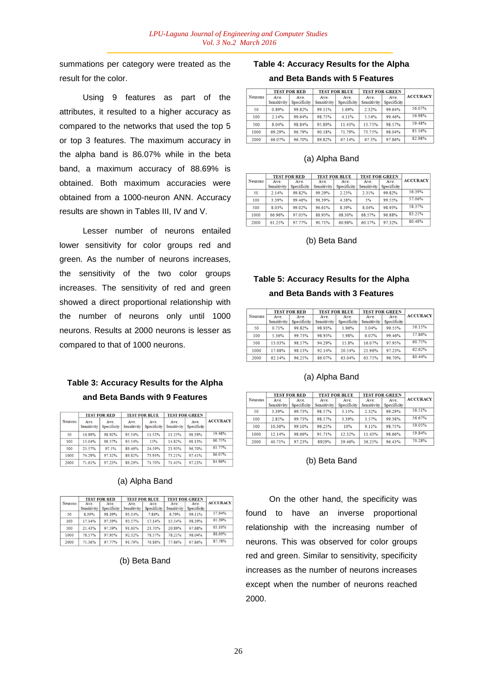summations per category were treated as the result for the color.

Using 9 features as part of the attributes, it resulted to a higher accuracy as compared to the networks that used the top 5 or top 3 features. The maximum accuracy in the alpha band is 86.07% while in the beta band, a maximum accuracy of 88.69% is obtained. Both maximum accuracies were obtained from a 1000-neuron ANN. Accuracy results are shown in Tables III, IV and V.

Lesser number of neurons entailed lower sensitivity for color groups red and green. As the number of neurons increases, the sensitivity of the two color groups increases. The sensitivity of red and green showed a direct proportional relationship with the number of neurons only until 1000 neurons. Results at 2000 neurons is lesser as compared to that of 1000 neurons.

# **Table 3: Accuracy Results for the Alpha and Beta Bands with 9 Features**

|         | <b>TEST FOR RED</b> |                     | <b>TEST FOR BLUE</b> |                     | <b>TEST FOR GREEN</b> |                     |                 |
|---------|---------------------|---------------------|----------------------|---------------------|-----------------------|---------------------|-----------------|
| Neurons | Ave.<br>Sensitivity | Ave.<br>Specificity | Ave<br>Sensitivity   | Ave.<br>Specificity | Ave.<br>Sensitivity   | Ave.<br>Specificity | <b>ACCURACY</b> |
| 50      | 10.89%              | 98.92%              | 95.54%               | 11.52%              | 11.25%                | 98.39%              | 59.48%          |
| 100     | 13.04%              | 98.57%              | 95.54%               | 15%                 | 14.82%                | 98.13%              | 60.75%          |
| 500     | 23.57%              | 97.5%               | 89.46%               | 24.59%              | 23.93%                | 96.70%              | 63.77%          |
| 1000    | 74 29%              | 97.32%              | 89.82%               | 73.93%              | 73 21%                | 97.41%              | 86.07%          |
| 2000    | 71.61%              | 97.23%              | 89.29%               | 71.70%              | 71.43%                | 97.23%              | 84.96%          |

# | TEST FOR RED | TEST FOR BLUE | TEST FOR GREEN

(a) Alpha Band

| Neurons | Ave.<br>Sensitivity | Ave.<br>Specificity | Ave.<br>Sensitivity | Ave.<br>Specificity | Ave.<br>Sensitivity | Ave.<br>Specificity | ACCURACY |
|---------|---------------------|---------------------|---------------------|---------------------|---------------------|---------------------|----------|
| 50      | 8.39%               | 98.39%              | 95.54%              | 7.86%               | 6.79%               | 99.11%              | 57.94%   |
| 100     | 17.14%              | 97.59%              | 93.57%              | 17.14%              | 15.54%              | 98.39%              | 61.39%   |
| 500     | 21.43%              | 97.59%              | 91.61%              | 21.70%              | 20.89%              | 97.68%              | 63.10%   |
| 1000    | 78.57%              | 97.95%              | 92.32%              | 78.57%              | 78.21%              | 98.04%              | 88.69%   |
| 2000    | 75.36%              | 97.77%              | 91.79%              | 76.88%              | 77.86%              | 97.86%              | 87.78%   |

## (b) Beta Band

## **Table 4: Accuracy Results for the Alpha**

## **and Beta Bands with 5 Features**

|                | <b>TEST FOR RED</b> |                     | <b>TEST FOR BLUE</b> |                     | <b>TEST FOR GREEN</b> |                     |                 |
|----------------|---------------------|---------------------|----------------------|---------------------|-----------------------|---------------------|-----------------|
| <b>Neurons</b> | Ave.<br>Sensitivity | Ave.<br>Specificity | Ave.<br>Sensitivity  | Ave.<br>Specificity | Ave.<br>Sensitivity   | Ave.<br>Specificity | <b>ACCURACY</b> |
| 50             | 0.89%               | 99.82%              | 99.11%               | 1.69%               | 2.32%                 | 99.64%              | 56.07%          |
| 100            | 2.14%               | 99.64%              | 98.75%               | 4.11%               | 5.54%                 | 99.46%              | 56.98%          |
| 500            | 8.04%               | 98.84%              | 95.89%               | 11.43%              | 13.75%                | 98.57%              | 59.48%          |
| 1000           | 69.29%              | 96.79%              | 90.18%               | 71.79%              | 73.75%                | 98.04%              | 85.16%          |
| 2000           | 66.07%              | 96.70%              | 89.82%               | 67.14%              | 67.5%                 | 97.86%              | 82.98%          |

## (a) Alpha Band

|         | <b>TEST FOR RED</b> |                     | <b>TEST FOR BLUE</b> |                     | <b>TEST FOR GREEN</b> |                     |                 |
|---------|---------------------|---------------------|----------------------|---------------------|-----------------------|---------------------|-----------------|
| Neurons | Ave.<br>Sensitivity | Ave.<br>Specificity | Ave.<br>Sensitivity  | Ave.<br>Specificity | Ave.<br>Sensitivity   | Ave.<br>Specificity | <b>ACCURACY</b> |
| 50      | 2.14%               | 99.82%              | 99.29%               | 2.23%               | 2.31%                 | 99.82%              | 56.39%          |
| 100     | 3.39%               | 99 46%              | 98.39%               | 4.38%               | 5%                    | 99.55%              | 57.06%          |
| 500     | 8.03%               | 99.02%              | 96.61%               | 8.39%               | 8.04%                 | 98.93%              | 58.37%          |
| 1000    | 66.96%              | 97.05%              | 88.93%               | 68.30%              | 68.57%                | 96.88%              | 83 21%          |
| 2000    | 61.25%              | 97.77%              | 90.71%               | 60.98%              | 60.17%                | 97.32%              | 80.48%          |

## (b) Beta Band

# **Table 5: Accuracy Results for the Alpha**

# **and Beta Bands with 3 Features**

|         | <b>TEST FOR RED</b> |                     | <b>TEST FOR BLUE</b> |                     | <b>TEST FOR GREEN</b> |                     |                 |  |
|---------|---------------------|---------------------|----------------------|---------------------|-----------------------|---------------------|-----------------|--|
| Neurons | Ave.<br>Sensitivity | Ave.<br>Specificity | Ave.<br>Sensitivity  | Ave.<br>Specificity | Ave.<br>Sensitivity   | Ave.<br>Specificity | <b>ACCURACY</b> |  |
| 50      | 0.71%               | 99.82%              | 98.93%               | 1.96%               | 3.04%                 | 99.55%              | 56.15%          |  |
| 100     | 5.36%               | 99.73%              | 98.93%               | 5.98%               | 6.07%                 | 99.46%              | 57.86%          |  |
| 500     | 13.03%              | 98.57%              | 94.29%               | 15.8%               | 16.07%                | 97.95%              | 60.75%          |  |
| 1000    | 17.68%              | 98.13%              | 92.14%               | 20.54%              | 21.96%                | 97.23%              | 62.62%          |  |
| 2000    | 62.14%              | 96.25%              | 86.07%               | 63.04%              | 63.75%                | 96.70%              | 80.44%          |  |

## (a) Alpha Band

|         | <b>TEST FOR RED</b> |             | <b>TEST FOR BLUE</b> |             | <b>TEST FOR GREEN</b> |             |                 |
|---------|---------------------|-------------|----------------------|-------------|-----------------------|-------------|-----------------|
| Neurons | Ave.                | Ave.        | Ave.                 | Ave.        | Ave.                  | Ave.        | <b>ACCURACY</b> |
|         | Sensitivity         | Specificity | Sensitivity          | Specificity | Sensitivity           | Specificity |                 |
| 50      | 3.39%               | 99.73%      | 98.57%               | 3.13%       | 2.32%                 | 99.29%      | 56.51%          |
| 100     | 2.85%               | 99.73%      | 98.57%               | 3.39%       | 3.57%                 | 99.38%      | 56.67%          |
| 500     | 10.36%              | 99.10%      | 96.25%               | 10%         | 9.11%                 | 98.75%      | 59.05%          |
| 1000    | 12.14%              | 98.66%      | 95.71%               | 12.32%      | 11.43%                | 98.66%      | 59.84%          |
| 2000    | 40.71%              | 97.23%      | 8929%                | 39.46%      | 36.25%                | 96.43%      | 70.28%          |

## (b) Beta Band

On the other hand, the specificity was found to have an inverse proportional relationship with the increasing number of neurons. This was observed for color groups red and green. Similar to sensitivity, specificity increases as the number of neurons increases except when the number of neurons reached 2000.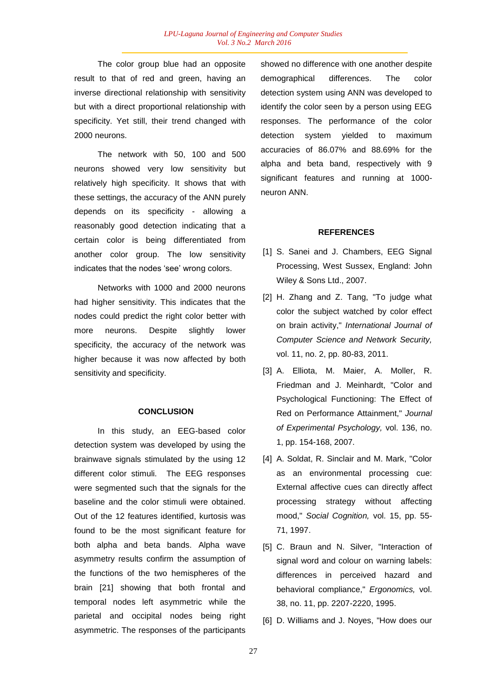The color group blue had an opposite result to that of red and green, having an inverse directional relationship with sensitivity but with a direct proportional relationship with specificity. Yet still, their trend changed with 2000 neurons.

The network with 50, 100 and 500 neurons showed very low sensitivity but relatively high specificity. It shows that with these settings, the accuracy of the ANN purely depends on its specificity - allowing a reasonably good detection indicating that a certain color is being differentiated from another color group. The low sensitivity indicates that the nodes 'see' wrong colors.

Networks with 1000 and 2000 neurons had higher sensitivity. This indicates that the nodes could predict the right color better with more neurons. Despite slightly lower specificity, the accuracy of the network was higher because it was now affected by both sensitivity and specificity.

#### **CONCLUSION**

In this study, an EEG-based color detection system was developed by using the brainwave signals stimulated by the using 12 different color stimuli. The EEG responses were segmented such that the signals for the baseline and the color stimuli were obtained. Out of the 12 features identified, kurtosis was found to be the most significant feature for both alpha and beta bands. Alpha wave asymmetry results confirm the assumption of the functions of the two hemispheres of the brain [21] showing that both frontal and temporal nodes left asymmetric while the parietal and occipital nodes being right asymmetric. The responses of the participants

showed no difference with one another despite demographical differences. The color detection system using ANN was developed to identify the color seen by a person using EEG responses. The performance of the color detection system yielded to maximum accuracies of 86.07% and 88.69% for the alpha and beta band, respectively with 9 significant features and running at 1000 neuron ANN.

## **REFERENCES**

- [1] S. Sanei and J. Chambers, EEG Signal Processing, West Sussex, England: John Wiley & Sons Ltd., 2007.
- [2] H. Zhang and Z. Tang, "To judge what color the subject watched by color effect on brain activity," *International Journal of Computer Science and Network Security,*  vol. 11, no. 2, pp. 80-83, 2011.
- [3] A. Elliota, M. Maier, A. Moller, R. Friedman and J. Meinhardt, "Color and Psychological Functioning: The Effect of Red on Performance Attainment," *Journal of Experimental Psychology,* vol. 136, no. 1, pp. 154-168, 2007.
- [4] A. Soldat, R. Sinclair and M. Mark, "Color as an environmental processing cue: External affective cues can directly affect processing strategy without affecting mood," *Social Cognition,* vol. 15, pp. 55- 71, 1997.
- [5] C. Braun and N. Silver, "Interaction of signal word and colour on warning labels: differences in perceived hazard and behavioral compliance," *Ergonomics,* vol. 38, no. 11, pp. 2207-2220, 1995.
- [6] D. Williams and J. Noyes, "How does our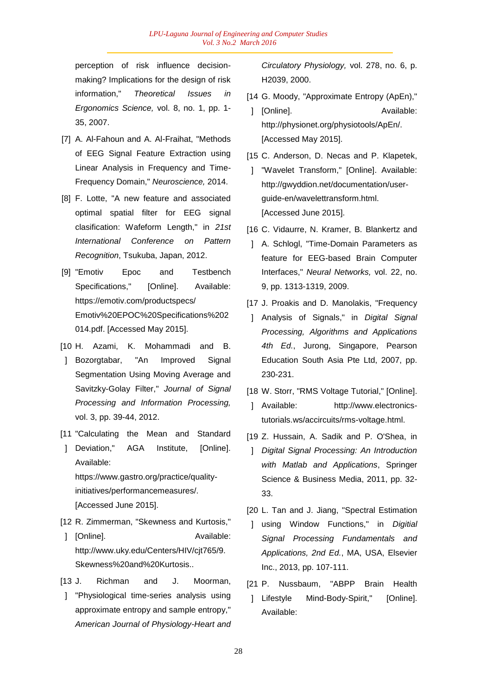perception of risk influence decisionmaking? Implications for the design of risk information," *Theoretical Issues in Ergonomics Science,* vol. 8, no. 1, pp. 1- 35, 2007.

- [7] A. Al-Fahoun and A. Al-Fraihat, "Methods of EEG Signal Feature Extraction using Linear Analysis in Frequency and Time-Frequency Domain," *Neuroscience,* 2014.
- [8] F. Lotte, "A new feature and associated optimal spatial filter for EEG signal clasification: Wafeform Length," in *21st International Conference on Pattern Recognition*, Tsukuba, Japan, 2012.
- [9] "Emotiv Epoc and Testbench Specifications," [Online]. Available: https://emotiv.com/productspecs/ Emotiv%20EPOC%20Specifications%202 014.pdf. [Accessed May 2015].
- [10 H. Azami, K. Mohammadi and B.
- ] Bozorgtabar, "An Improved Signal Segmentation Using Moving Average and Savitzky-Golay Filter," *Journal of Signal Processing and Information Processing,*  vol. 3, pp. 39-44, 2012.
- [11 "Calculating the Mean and Standard
- ] Deviation," AGA Institute, [Online]. Available: https://www.gastro.org/practice/qualityinitiatives/performancemeasures/. [Accessed June 2015].
- [12 R. Zimmerman, "Skewness and Kurtosis,"
- ] [Online]. Available: http://www.uky.edu/Centers/HIV/cjt765/9. Skewness%20and%20Kurtosis..
- $[13 J.$ Richman and J. Moorman,
- ] "Physiological time-series analysis using approximate entropy and sample entropy," *American Journal of Physiology-Heart and*

*Circulatory Physiology,* vol. 278, no. 6, p. H2039, 2000.

- [14 G. Moody, "Approximate Entropy (ApEn),"
- 1 [Online]. Available: http://physionet.org/physiotools/ApEn/. [Accessed May 2015].
- [15 C. Anderson, D. Necas and P. Klapetek,
- ] "Wavelet Transform," [Online]. Available: http://gwyddion.net/documentation/userguide-en/wavelettransform.html. [Accessed June 2015].
- [16 C. Vidaurre, N. Kramer, B. Blankertz and
- ] A. Schlogl, "Time-Domain Parameters as feature for EEG-based Brain Computer Interfaces," *Neural Networks,* vol. 22, no. 9, pp. 1313-1319, 2009.
- [17 J. Proakis and D. Manolakis, "Frequency
- ] Analysis of Signals," in *Digital Signal Processing, Algorithms and Applications 4th Ed.*, Jurong, Singapore, Pearson Education South Asia Pte Ltd, 2007, pp. 230-231.
- [18 W. Storr, "RMS Voltage Tutorial," [Online].
- ] Available: http://www.electronicstutorials.ws/accircuits/rms-voltage.html.
- [19 Z. Hussain, A. Sadik and P. O'Shea, in
- ] *Digital Signal Processing: An Introduction with Matlab and Applications*, Springer Science & Business Media, 2011, pp. 32- 33.
- [20 L. Tan and J. Jiang, "Spectral Estimation
- ] using Window Functions," in *Digitial Signal Processing Fundamentals and Applications, 2nd Ed.*, MA, USA, Elsevier Inc., 2013, pp. 107-111.
- $[21 P]$ Nussbaum, "ABPP Brain Health
- 1 Lifestyle Mind-Body-Spirit," [Online]. Available: